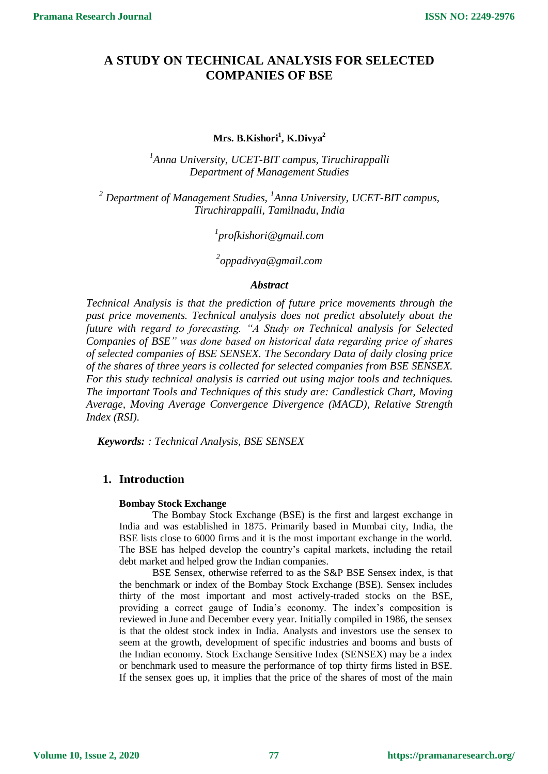# **A STUDY ON TECHNICAL ANALYSIS FOR SELECTED COMPANIES OF BSE**

## **Mrs. B.Kishori<sup>1</sup> , K.Divya<sup>2</sup>**

*1 Anna University, UCET-BIT campus, Tiruchirappalli Department of Management Studies*

*<sup>2</sup> Department of Management Studies, <sup>1</sup> Anna University, UCET-BIT campus, Tiruchirappalli, Tamilnadu, India*

*1 profkishori@gmail.com*

*2 oppadivya@gmail.com*

## *Abstract*

*Technical Analysis is that the prediction of future price movements through the past price movements. Technical analysis does not predict absolutely about the future with regard to forecasting. "A Study on Technical analysis for Selected Companies of BSE" was done based on historical data regarding price of shares of selected companies of BSE SENSEX. The Secondary Data of daily closing price of the shares of three years is collected for selected companies from BSE SENSEX. For this study technical analysis is carried out using major tools and techniques. The important Tools and Techniques of this study are: Candlestick Chart, Moving Average, Moving Average Convergence Divergence (MACD), Relative Strength Index (RSI).*

*Keywords: : Technical Analysis, BSE SENSEX*

## **1. Introduction**

## **Bombay Stock Exchange**

The Bombay Stock Exchange (BSE) is the first and largest exchange in India and was established in 1875. Primarily based in Mumbai city, India, the BSE lists close to 6000 firms and it is the most important exchange in the world. The BSE has helped develop the country's capital markets, including the retail debt market and helped grow the Indian companies.

BSE Sensex, otherwise referred to as the S&P BSE Sensex index, is that the benchmark or index of the Bombay Stock Exchange (BSE). Sensex includes thirty of the most important and most actively-traded stocks on the BSE, providing a correct gauge of India's economy. The index's composition is reviewed in June and December every year. Initially compiled in 1986, the sensex is that the oldest stock index in India. Analysts and investors use the sensex to seem at the growth, development of specific industries and booms and busts of the Indian economy. Stock Exchange Sensitive Index (SENSEX) may be a index or benchmark used to measure the performance of top thirty firms listed in BSE. If the sensex goes up, it implies that the price of the shares of most of the main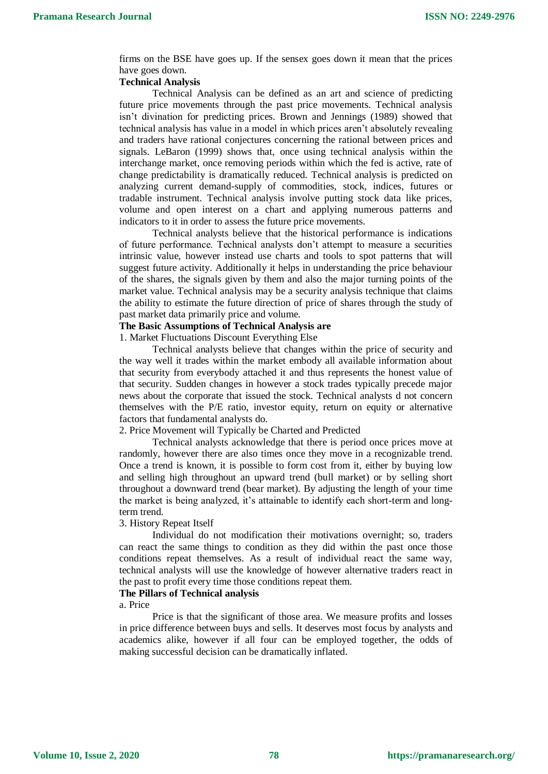firms on the BSE have goes up. If the sensex goes down it mean that the prices have goes down.

#### **Technical Analysis**

Technical Analysis can be defined as an art and science of predicting future price movements through the past price movements. Technical analysis isn't divination for predicting prices. Brown and Jennings (1989) showed that technical analysis has value in a model in which prices aren't absolutely revealing and traders have rational conjectures concerning the rational between prices and signals. LeBaron (1999) shows that, once using technical analysis within the interchange market, once removing periods within which the fed is active, rate of change predictability is dramatically reduced. Technical analysis is predicted on analyzing current demand-supply of commodities, stock, indices, futures or tradable instrument. Technical analysis involve putting stock data like prices, volume and open interest on a chart and applying numerous patterns and indicators to it in order to assess the future price movements.

Technical analysts believe that the historical performance is indications of future performance. Technical analysts don't attempt to measure a securities intrinsic value, however instead use charts and tools to spot patterns that will suggest future activity. Additionally it helps in understanding the price behaviour of the shares, the signals given by them and also the major turning points of the market value. Technical analysis may be a security analysis technique that claims the ability to estimate the future direction of price of shares through the study of past market data primarily price and volume.

## **The Basic Assumptions of Technical Analysis are**

1. Market Fluctuations Discount Everything Else

Technical analysts believe that changes within the price of security and the way well it trades within the market embody all available information about that security from everybody attached it and thus represents the honest value of that security. Sudden changes in however a stock trades typically precede major news about the corporate that issued the stock. Technical analysts d not concern themselves with the P/E ratio, investor equity, return on equity or alternative factors that fundamental analysts do.

## 2. Price Movement will Typically be Charted and Predicted

Technical analysts acknowledge that there is period once prices move at randomly, however there are also times once they move in a recognizable trend. Once a trend is known, it is possible to form cost from it, either by buying low and selling high throughout an upward trend (bull market) or by selling short throughout a downward trend (bear market). By adjusting the length of your time the market is being analyzed, it's attainable to identify each short-term and longterm trend.

3. History Repeat Itself

Individual do not modification their motivations overnight; so, traders can react the same things to condition as they did within the past once those conditions repeat themselves. As a result of individual react the same way, technical analysts will use the knowledge of however alternative traders react in the past to profit every time those conditions repeat them.

### **The Pillars of Technical analysis**

a. Price

Price is that the significant of those area. We measure profits and losses in price difference between buys and sells. It deserves most focus by analysts and academics alike, however if all four can be employed together, the odds of making successful decision can be dramatically inflated.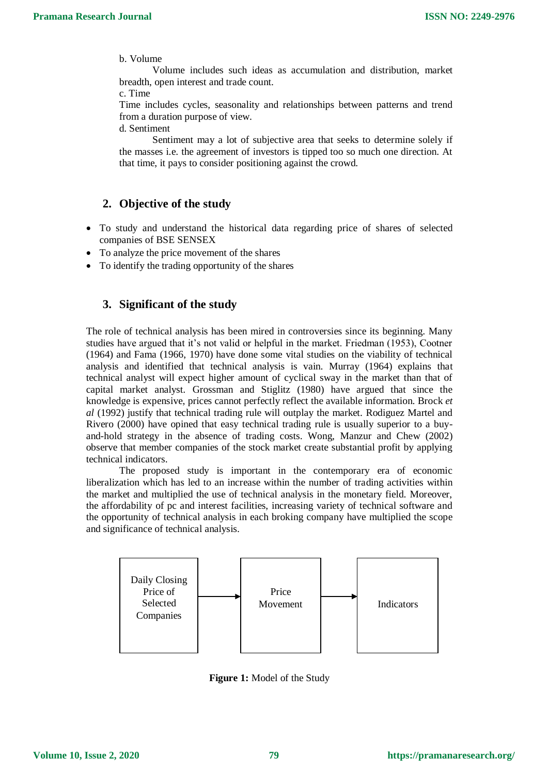## b. Volume

Volume includes such ideas as accumulation and distribution, market breadth, open interest and trade count.

c. Time

Time includes cycles, seasonality and relationships between patterns and trend from a duration purpose of view.

d. Sentiment

Sentiment may a lot of subjective area that seeks to determine solely if the masses i.e. the agreement of investors is tipped too so much one direction. At that time, it pays to consider positioning against the crowd.

# **2. Objective of the study**

- To study and understand the historical data regarding price of shares of selected companies of BSE SENSEX
- To analyze the price movement of the shares
- To identify the trading opportunity of the shares

## **3. Significant of the study**

The role of technical analysis has been mired in controversies since its beginning. Many studies have argued that it's not valid or helpful in the market. Friedman (1953), Cootner (1964) and Fama (1966, 1970) have done some vital studies on the viability of technical analysis and identified that technical analysis is vain. Murray (1964) explains that technical analyst will expect higher amount of cyclical sway in the market than that of capital market analyst. Grossman and Stiglitz (1980) have argued that since the knowledge is expensive, prices cannot perfectly reflect the available information. Brock *et al* (1992) justify that technical trading rule will outplay the market. Rodiguez Martel and Rivero (2000) have opined that easy technical trading rule is usually superior to a buyand-hold strategy in the absence of trading costs. Wong, Manzur and Chew (2002) observe that member companies of the stock market create substantial profit by applying technical indicators.

The proposed study is important in the contemporary era of economic liberalization which has led to an increase within the number of trading activities within the market and multiplied the use of technical analysis in the monetary field. Moreover, the affordability of pc and interest facilities, increasing variety of technical software and the opportunity of technical analysis in each broking company have multiplied the scope and significance of technical analysis.



**Figure 1:** Model of the Study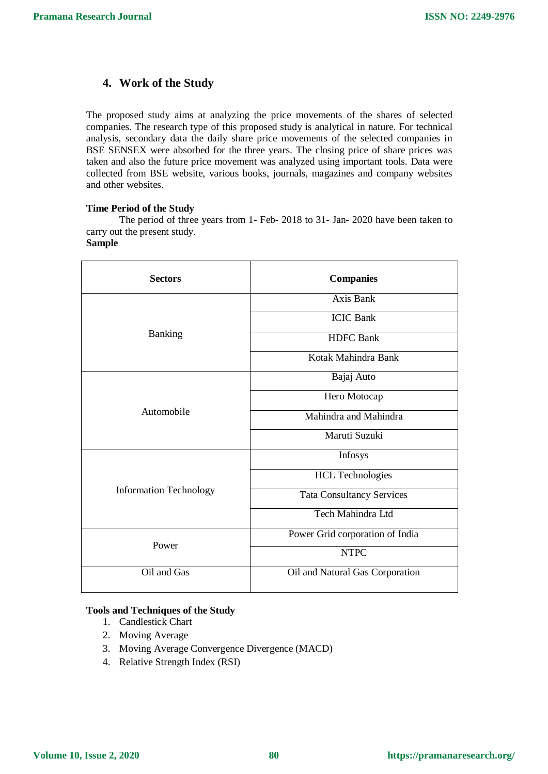# **4. Work of the Study**

The proposed study aims at analyzing the price movements of the shares of selected companies. The research type of this proposed study is analytical in nature. For technical analysis, secondary data the daily share price movements of the selected companies in BSE SENSEX were absorbed for the three years. The closing price of share prices was taken and also the future price movement was analyzed using important tools. Data were collected from BSE website, various books, journals, magazines and company websites and other websites.

## **Time Period of the Study**

The period of three years from 1- Feb- 2018 to 31- Jan- 2020 have been taken to carry out the present study.

## **Sample**

| <b>Sectors</b>                | <b>Companies</b>                 |
|-------------------------------|----------------------------------|
| Banking                       | Axis Bank                        |
|                               | <b>ICIC Bank</b>                 |
|                               | <b>HDFC</b> Bank                 |
|                               | Kotak Mahindra Bank              |
| Automobile                    | Bajaj Auto                       |
|                               | Hero Motocap                     |
|                               | Mahindra and Mahindra            |
|                               | Maruti Suzuki                    |
| <b>Information Technology</b> | Infosys                          |
|                               | <b>HCL Technologies</b>          |
|                               | <b>Tata Consultancy Services</b> |
|                               | Tech Mahindra Ltd                |
| Power                         | Power Grid corporation of India  |
|                               | <b>NTPC</b>                      |
| Oil and Gas                   | Oil and Natural Gas Corporation  |
|                               |                                  |

## **Tools and Techniques of the Study**

- 1. Candlestick Chart
- 2. Moving Average
- 3. Moving Average Convergence Divergence (MACD)
- 4. Relative Strength Index (RSI)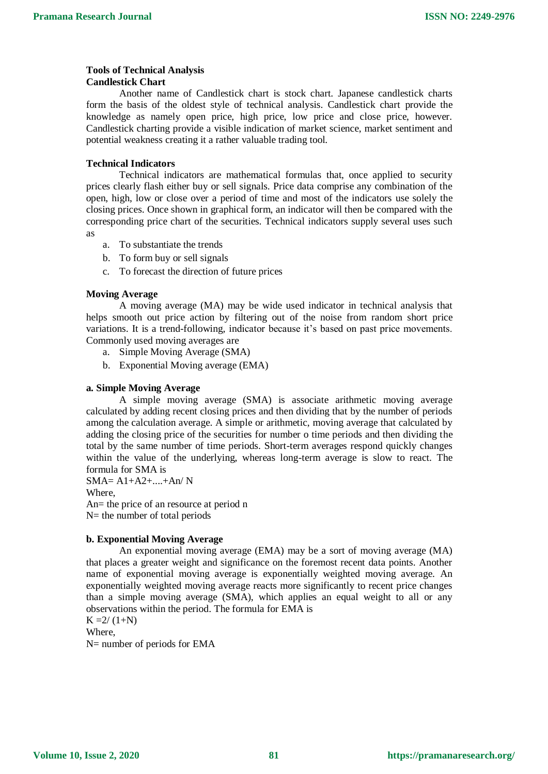#### **Tools of Technical Analysis Candlestick Chart**

Another name of Candlestick chart is stock chart. Japanese candlestick charts form the basis of the oldest style of technical analysis. Candlestick chart provide the knowledge as namely open price, high price, low price and close price, however. Candlestick charting provide a visible indication of market science, market sentiment and potential weakness creating it a rather valuable trading tool.

## **Technical Indicators**

Technical indicators are mathematical formulas that, once applied to security prices clearly flash either buy or sell signals. Price data comprise any combination of the open, high, low or close over a period of time and most of the indicators use solely the closing prices. Once shown in graphical form, an indicator will then be compared with the corresponding price chart of the securities. Technical indicators supply several uses such as

- a. To substantiate the trends
- b. To form buy or sell signals
- c. To forecast the direction of future prices

### **Moving Average**

A moving average (MA) may be wide used indicator in technical analysis that helps smooth out price action by filtering out of the noise from random short price variations. It is a trend-following, indicator because it's based on past price movements. Commonly used moving averages are

- a. Simple Moving Average (SMA)
- b. Exponential Moving average (EMA)

### **a. Simple Moving Average**

A simple moving average (SMA) is associate arithmetic moving average calculated by adding recent closing prices and then dividing that by the number of periods among the calculation average. A simple or arithmetic, moving average that calculated by adding the closing price of the securities for number o time periods and then dividing the total by the same number of time periods. Short-term averages respond quickly changes within the value of the underlying, whereas long-term average is slow to react. The formula for SMA is

SMA= A1+A2+....+An/ N Where, An= the price of an resource at period n  $N=$  the number of total periods

### **b. Exponential Moving Average**

An exponential moving average (EMA) may be a sort of moving average (MA) that places a greater weight and significance on the foremost recent data points. Another name of exponential moving average is exponentially weighted moving average. An exponentially weighted moving average reacts more significantly to recent price changes than a simple moving average (SMA), which applies an equal weight to all or any observations within the period. The formula for EMA is

 $K = 2/(1+N)$ Where,

N= number of periods for EMA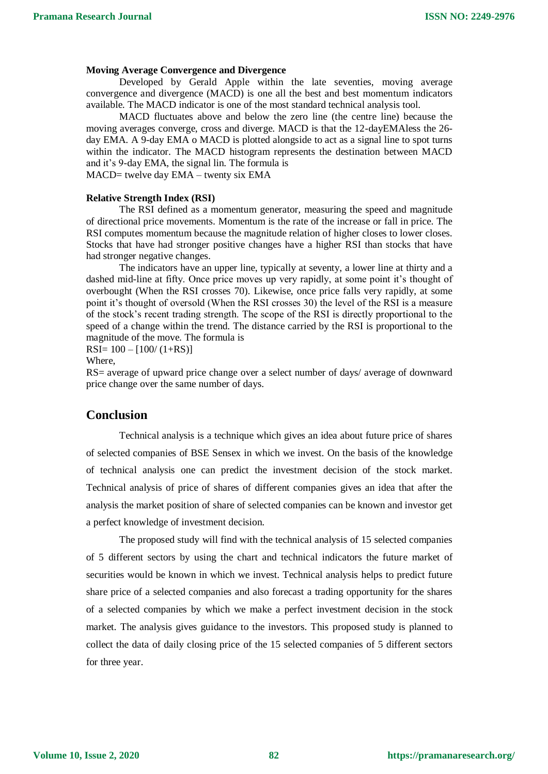### **Moving Average Convergence and Divergence**

Developed by Gerald Apple within the late seventies, moving average convergence and divergence (MACD) is one all the best and best momentum indicators available. The MACD indicator is one of the most standard technical analysis tool.

MACD fluctuates above and below the zero line (the centre line) because the moving averages converge, cross and diverge. MACD is that the 12-dayEMAless the 26 day EMA. A 9-day EMA o MACD is plotted alongside to act as a signal line to spot turns within the indicator. The MACD histogram represents the destination between MACD and it's 9-day EMA, the signal lin. The formula is MACD= twelve day EMA – twenty six EMA

**Relative Strength Index (RSI)**

The RSI defined as a momentum generator, measuring the speed and magnitude of directional price movements. Momentum is the rate of the increase or fall in price. The RSI computes momentum because the magnitude relation of higher closes to lower closes. Stocks that have had stronger positive changes have a higher RSI than stocks that have had stronger negative changes.

The indicators have an upper line, typically at seventy, a lower line at thirty and a dashed mid-line at fifty. Once price moves up very rapidly, at some point it's thought of overbought (When the RSI crosses 70). Likewise, once price falls very rapidly, at some point it's thought of oversold (When the RSI crosses 30) the level of the RSI is a measure of the stock's recent trading strength. The scope of the RSI is directly proportional to the speed of a change within the trend. The distance carried by the RSI is proportional to the magnitude of the move. The formula is

 $RSI = 100 - [100/(1+RS)]$ 

Where,

RS= average of upward price change over a select number of days/ average of downward price change over the same number of days.

## **Conclusion**

Technical analysis is a technique which gives an idea about future price of shares of selected companies of BSE Sensex in which we invest. On the basis of the knowledge of technical analysis one can predict the investment decision of the stock market. Technical analysis of price of shares of different companies gives an idea that after the analysis the market position of share of selected companies can be known and investor get a perfect knowledge of investment decision.

The proposed study will find with the technical analysis of 15 selected companies of 5 different sectors by using the chart and technical indicators the future market of securities would be known in which we invest. Technical analysis helps to predict future share price of a selected companies and also forecast a trading opportunity for the shares of a selected companies by which we make a perfect investment decision in the stock market. The analysis gives guidance to the investors. This proposed study is planned to collect the data of daily closing price of the 15 selected companies of 5 different sectors for three year.